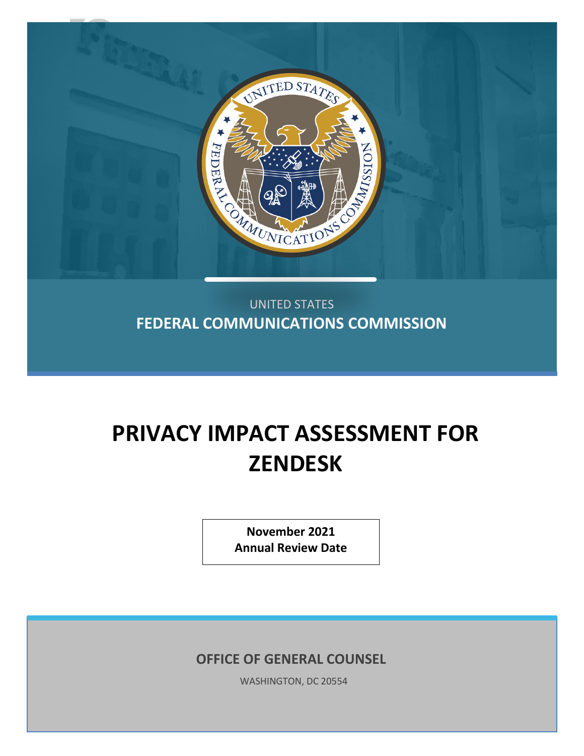

UNITED STATES **FEDERAL COMMUNICATIONS COMMISSION**

# **PRIVACY IMPACT ASSESSMENT FOR ZENDESK**

**November 2021 Annual Review Date**

**OFFICE OF GENERAL COUNSEL**

WASHINGTON, DC 20554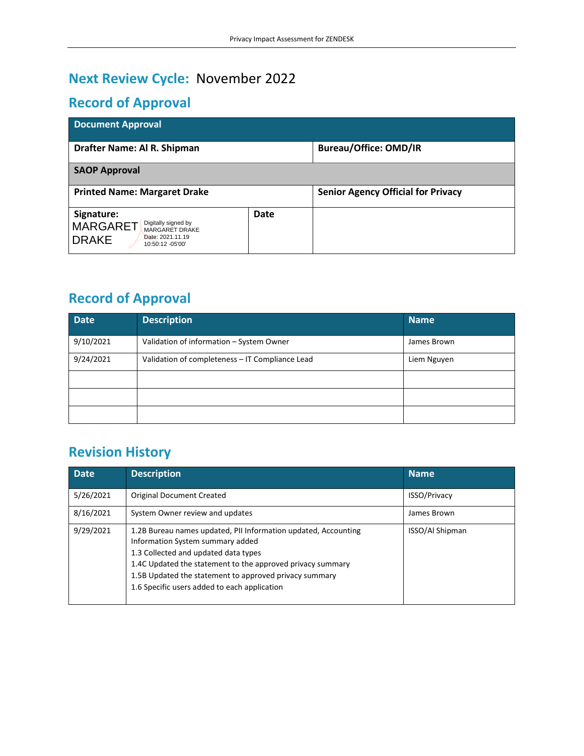# **Next Review Cycle:** November 2022

# **Record of Approval**

| <b>Document Approval</b>                                                                                                              |      |                                           |  |  |  |  |
|---------------------------------------------------------------------------------------------------------------------------------------|------|-------------------------------------------|--|--|--|--|
| Drafter Name: Al R. Shipman                                                                                                           |      | <b>Bureau/Office: OMD/IR</b>              |  |  |  |  |
| <b>SAOP Approval</b>                                                                                                                  |      |                                           |  |  |  |  |
| <b>Printed Name: Margaret Drake</b>                                                                                                   |      | <b>Senior Agency Official for Privacy</b> |  |  |  |  |
| Signature:<br>Digitally signed by<br><b>MARGARET</b><br><b>MARGARET DRAKE</b><br>Date: 2021.11.19<br><b>DRAKE</b><br>10:50:12 -05'00' | Date |                                           |  |  |  |  |

# **Record of Approval**

| <b>Date</b> | <b>Description</b>                              | <b>Name</b> |
|-------------|-------------------------------------------------|-------------|
| 9/10/2021   | Validation of information - System Owner        | James Brown |
| 9/24/2021   | Validation of completeness - IT Compliance Lead | Liem Nguyen |
|             |                                                 |             |
|             |                                                 |             |
|             |                                                 |             |

# **Revision History**

| <b>Date</b> | <b>Description</b>                                                                                                                                                                                                                                                                                                 | <b>Name</b>            |
|-------------|--------------------------------------------------------------------------------------------------------------------------------------------------------------------------------------------------------------------------------------------------------------------------------------------------------------------|------------------------|
| 5/26/2021   | <b>Original Document Created</b>                                                                                                                                                                                                                                                                                   | <b>ISSO/Privacy</b>    |
| 8/16/2021   | System Owner review and updates                                                                                                                                                                                                                                                                                    | James Brown            |
| 9/29/2021   | 1.2B Bureau names updated, PII Information updated, Accounting<br>Information System summary added<br>1.3 Collected and updated data types<br>1.4C Updated the statement to the approved privacy summary<br>1.5B Updated the statement to approved privacy summary<br>1.6 Specific users added to each application | <b>ISSO/Al Shipman</b> |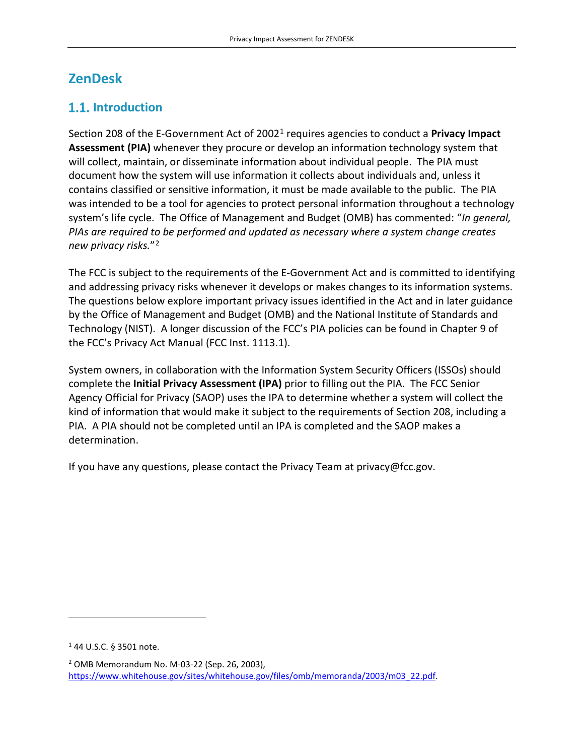# **ZenDesk**

# **1.1.** Introduction

Section 208 of the E-Government Act of 2002[1](#page-2-0) requires agencies to conduct a **Privacy Impact Assessment (PIA)** whenever they procure or develop an information technology system that will collect, maintain, or disseminate information about individual people. The PIA must document how the system will use information it collects about individuals and, unless it contains classified or sensitive information, it must be made available to the public. The PIA was intended to be a tool for agencies to protect personal information throughout a technology system's life cycle. The Office of Management and Budget (OMB) has commented: "*In general, PIAs are required to be performed and updated as necessary where a system change creates new privacy risks.*"[2](#page-2-1)

The FCC is subject to the requirements of the E-Government Act and is committed to identifying and addressing privacy risks whenever it develops or makes changes to its information systems. The questions below explore important privacy issues identified in the Act and in later guidance by the Office of Management and Budget (OMB) and the National Institute of Standards and Technology (NIST). A longer discussion of the FCC's PIA policies can be found in Chapter 9 of the FCC's Privacy Act Manual (FCC Inst. 1113.1).

System owners, in collaboration with the Information System Security Officers (ISSOs) should complete the **Initial Privacy Assessment (IPA)** prior to filling out the PIA. The FCC Senior Agency Official for Privacy (SAOP) uses the IPA to determine whether a system will collect the kind of information that would make it subject to the requirements of Section 208, including a PIA. A PIA should not be completed until an IPA is completed and the SAOP makes a determination.

If you have any questions, please contact the Privacy Team at privacy@fcc.gov.

<span id="page-2-0"></span><sup>1</sup> 44 U.S.C. § 3501 note.

<span id="page-2-1"></span><sup>2</sup> OMB Memorandum No. M-03-22 (Sep. 26, 2003), [https://www.whitehouse.gov/sites/whitehouse.gov/files/omb/memoranda/2003/m03\\_22.pdf.](https://www.whitehouse.gov/sites/whitehouse.gov/files/omb/memoranda/2003/m03_22.pdf)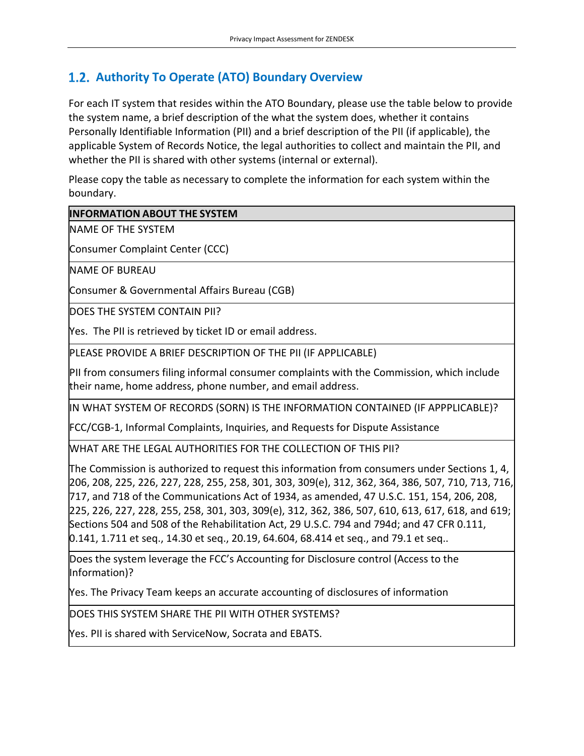# **Authority To Operate (ATO) Boundary Overview**

For each IT system that resides within the ATO Boundary, please use the table below to provide the system name, a brief description of the what the system does, whether it contains Personally Identifiable Information (PII) and a brief description of the PII (if applicable), the applicable System of Records Notice, the legal authorities to collect and maintain the PII, and whether the PII is shared with other systems (internal or external).

Please copy the table as necessary to complete the information for each system within the boundary.

#### **INFORMATION ABOUT THE SYSTEM**

NAME OF THE SYSTEM

Consumer Complaint Center (CCC)

NAME OF BUREAU

Consumer & Governmental Affairs Bureau (CGB)

DOES THE SYSTEM CONTAIN PII?

Yes. The PII is retrieved by ticket ID or email address.

PLEASE PROVIDE A BRIEF DESCRIPTION OF THE PII (IF APPLICABLE)

PII from consumers filing informal consumer complaints with the Commission, which include their name, home address, phone number, and email address.

IN WHAT SYSTEM OF RECORDS (SORN) IS THE INFORMATION CONTAINED (IF APPPLICABLE)?

FCC/CGB-1, Informal Complaints, Inquiries, and Requests for Dispute Assistance

WHAT ARE THE LEGAL AUTHORITIES FOR THE COLLECTION OF THIS PII?

The Commission is authorized to request this information from consumers under Sections 1, 4, 206, 208, 225, 226, 227, 228, 255, 258, 301, 303, 309(e), 312, 362, 364, 386, 507, 710, 713, 716, 717, and 718 of the Communications Act of 1934, as amended, 47 U.S.C. 151, 154, 206, 208, 225, 226, 227, 228, 255, 258, 301, 303, 309(e), 312, 362, 386, 507, 610, 613, 617, 618, and 619; Sections 504 and 508 of the Rehabilitation Act, 29 U.S.C. 794 and 794d; and 47 CFR 0.111, 0.141, 1.711 et seq., 14.30 et seq., 20.19, 64.604, 68.414 et seq., and 79.1 et seq..

Does the system leverage the FCC's Accounting for Disclosure control (Access to the Information)?

Yes. The Privacy Team keeps an accurate accounting of disclosures of information

DOES THIS SYSTEM SHARE THE PII WITH OTHER SYSTEMS?

Yes. PII is shared with ServiceNow, Socrata and EBATS.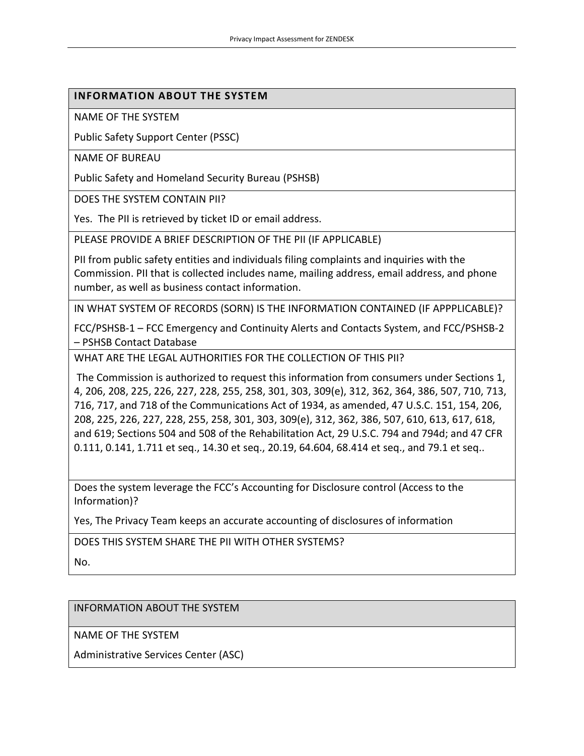#### **INFORMATION ABOUT THE SYSTEM**

NAME OF THE SYSTEM

Public Safety Support Center (PSSC)

NAME OF BUREAU

Public Safety and Homeland Security Bureau (PSHSB)

DOES THE SYSTEM CONTAIN PII?

Yes. The PII is retrieved by ticket ID or email address.

PLEASE PROVIDE A BRIEF DESCRIPTION OF THE PII (IF APPLICABLE)

PII from public safety entities and individuals filing complaints and inquiries with the Commission. PII that is collected includes name, mailing address, email address, and phone number, as well as business contact information.

IN WHAT SYSTEM OF RECORDS (SORN) IS THE INFORMATION CONTAINED (IF APPPLICABLE)?

FCC/PSHSB-1 – FCC Emergency and Continuity Alerts and Contacts System, and FCC/PSHSB-2 – PSHSB Contact Database

WHAT ARE THE LEGAL AUTHORITIES FOR THE COLLECTION OF THIS PII?

The Commission is authorized to request this information from consumers under Sections 1, 4, 206, 208, 225, 226, 227, 228, 255, 258, 301, 303, 309(e), 312, 362, 364, 386, 507, 710, 713, 716, 717, and 718 of the Communications Act of 1934, as amended, 47 U.S.C. 151, 154, 206, 208, 225, 226, 227, 228, 255, 258, 301, 303, 309(e), 312, 362, 386, 507, 610, 613, 617, 618, and 619; Sections 504 and 508 of the Rehabilitation Act, 29 U.S.C. 794 and 794d; and 47 CFR 0.111, 0.141, 1.711 et seq., 14.30 et seq., 20.19, 64.604, 68.414 et seq., and 79.1 et seq..

Does the system leverage the FCC's Accounting for Disclosure control (Access to the Information)?

Yes, The Privacy Team keeps an accurate accounting of disclosures of information

DOES THIS SYSTEM SHARE THE PII WITH OTHER SYSTEMS?

No.

INFORMATION ABOUT THE SYSTEM

NAME OF THE SYSTEM

Administrative Services Center (ASC)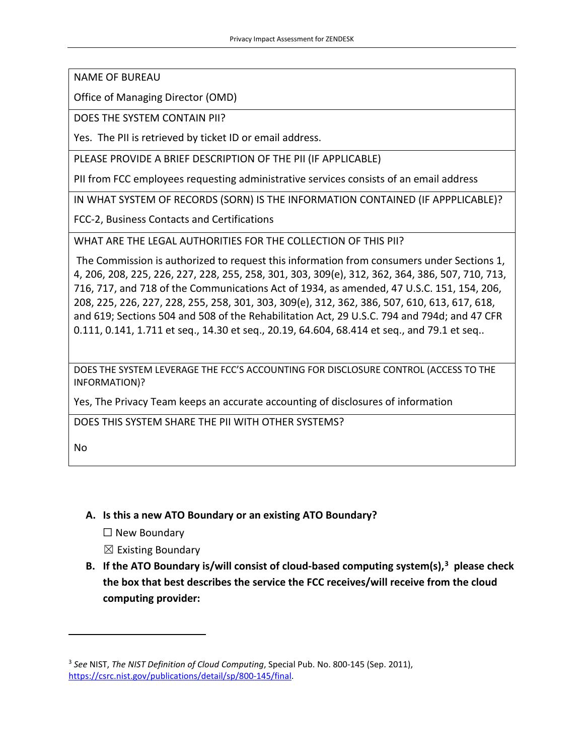NAME OF BUREAU

Office of Managing Director (OMD)

DOES THE SYSTEM CONTAIN PII?

Yes. The PII is retrieved by ticket ID or email address.

PLEASE PROVIDE A BRIEF DESCRIPTION OF THE PII (IF APPLICABLE)

PII from FCC employees requesting administrative services consists of an email address

IN WHAT SYSTEM OF RECORDS (SORN) IS THE INFORMATION CONTAINED (IF APPPLICABLE)?

FCC-2, Business Contacts and Certifications

WHAT ARE THE LEGAL AUTHORITIES FOR THE COLLECTION OF THIS PII?

The Commission is authorized to request this information from consumers under Sections 1, 4, 206, 208, 225, 226, 227, 228, 255, 258, 301, 303, 309(e), 312, 362, 364, 386, 507, 710, 713, 716, 717, and 718 of the Communications Act of 1934, as amended, 47 U.S.C. 151, 154, 206, 208, 225, 226, 227, 228, 255, 258, 301, 303, 309(e), 312, 362, 386, 507, 610, 613, 617, 618, and 619; Sections 504 and 508 of the Rehabilitation Act, 29 U.S.C. 794 and 794d; and 47 CFR 0.111, 0.141, 1.711 et seq., 14.30 et seq., 20.19, 64.604, 68.414 et seq., and 79.1 et seq..

DOES THE SYSTEM LEVERAGE THE FCC'S ACCOUNTING FOR DISCLOSURE CONTROL (ACCESS TO THE INFORMATION)?

Yes, The Privacy Team keeps an accurate accounting of disclosures of information

DOES THIS SYSTEM SHARE THE PII WITH OTHER SYSTEMS?

No

#### **A. Is this a new ATO Boundary or an existing ATO Boundary?**

☐ New Boundary

 $\boxtimes$  Existing Boundary

**B. If the ATO Boundary is/will consist of cloud-based computing system(s), [3](#page-5-0) please check the box that best describes the service the FCC receives/will receive from the cloud computing provider:** 

<span id="page-5-0"></span><sup>3</sup> *See* NIST, *The NIST Definition of Cloud Computing*, Special Pub. No. 800-145 (Sep. 2011), [https://csrc.nist.gov/publications/detail/sp/800-145/final.](https://csrc.nist.gov/publications/detail/sp/800-145/final)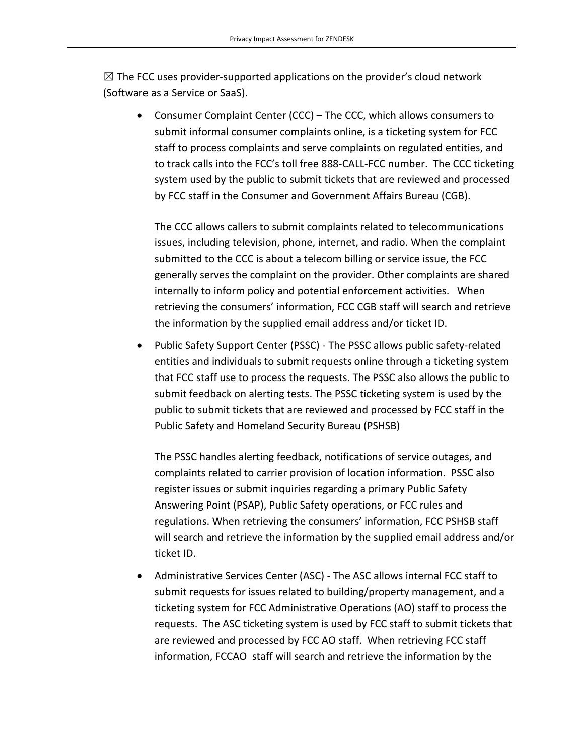$\boxtimes$  The FCC uses provider-supported applications on the provider's cloud network (Software as a Service or SaaS).

• Consumer Complaint Center (CCC) – The CCC, which allows consumers to submit informal consumer complaints online, is a ticketing system for FCC staff to process complaints and serve complaints on regulated entities, and to track calls into the FCC's toll free 888-CALL-FCC number. The CCC ticketing system used by the public to submit tickets that are reviewed and processed by FCC staff in the Consumer and Government Affairs Bureau (CGB).

The CCC allows callers to submit complaints related to telecommunications issues, including television, phone, internet, and radio. When the complaint submitted to the CCC is about a telecom billing or service issue, the FCC generally serves the complaint on the provider. Other complaints are shared internally to inform policy and potential enforcement activities. When retrieving the consumers' information, FCC CGB staff will search and retrieve the information by the supplied email address and/or ticket ID.

• Public Safety Support Center (PSSC) - The PSSC allows public safety-related entities and individuals to submit requests online through a ticketing system that FCC staff use to process the requests. The PSSC also allows the public to submit feedback on alerting tests. The PSSC ticketing system is used by the public to submit tickets that are reviewed and processed by FCC staff in the Public Safety and Homeland Security Bureau (PSHSB)

The PSSC handles alerting feedback, notifications of service outages, and complaints related to carrier provision of location information. PSSC also register issues or submit inquiries regarding a primary Public Safety Answering Point (PSAP), Public Safety operations, or FCC rules and regulations. When retrieving the consumers' information, FCC PSHSB staff will search and retrieve the information by the supplied email address and/or ticket ID.

• Administrative Services Center (ASC) - The ASC allows internal FCC staff to submit requests for issues related to building/property management, and a ticketing system for FCC Administrative Operations (AO) staff to process the requests. The ASC ticketing system is used by FCC staff to submit tickets that are reviewed and processed by FCC AO staff. When retrieving FCC staff information, FCCAO staff will search and retrieve the information by the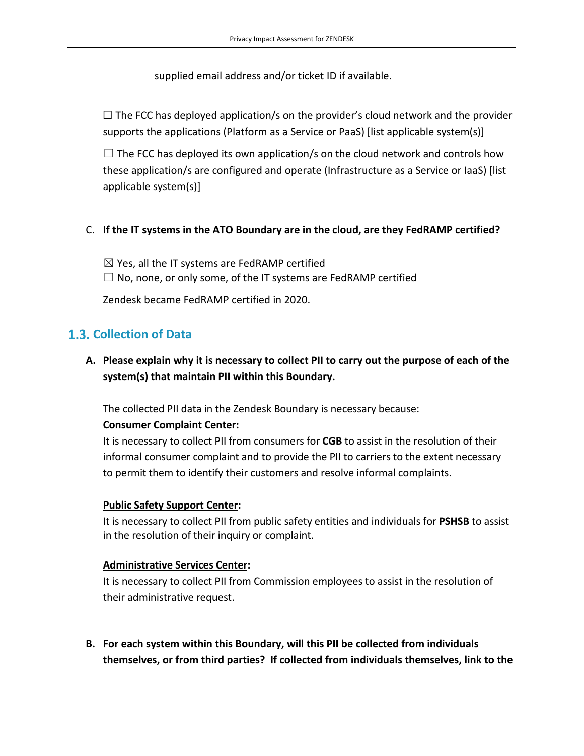supplied email address and/or ticket ID if available.

 $\Box$  The FCC has deployed application/s on the provider's cloud network and the provider supports the applications (Platform as a Service or PaaS) [list applicable system(s)]

 $\Box$  The FCC has deployed its own application/s on the cloud network and controls how these application/s are configured and operate (Infrastructure as a Service or IaaS) [list applicable system(s)]

#### C. **If the IT systems in the ATO Boundary are in the cloud, are they FedRAMP certified?**

 $\boxtimes$  Yes, all the IT systems are FedRAMP certified  $\Box$  No, none, or only some, of the IT systems are FedRAMP certified

Zendesk became FedRAMP certified in 2020.

# **Collection of Data**

### **A. Please explain why it is necessary to collect PII to carry out the purpose of each of the system(s) that maintain PII within this Boundary.**

The collected PII data in the Zendesk Boundary is necessary because:

#### **Consumer Complaint Center:**

It is necessary to collect PII from consumers for **CGB** to assist in the resolution of their informal consumer complaint and to provide the PII to carriers to the extent necessary to permit them to identify their customers and resolve informal complaints.

#### **Public Safety Support Center:**

It is necessary to collect PII from public safety entities and individuals for **PSHSB** to assist in the resolution of their inquiry or complaint.

#### **Administrative Services Center:**

It is necessary to collect PII from Commission employees to assist in the resolution of their administrative request.

**B. For each system within this Boundary, will this PII be collected from individuals themselves, or from third parties? If collected from individuals themselves, link to the**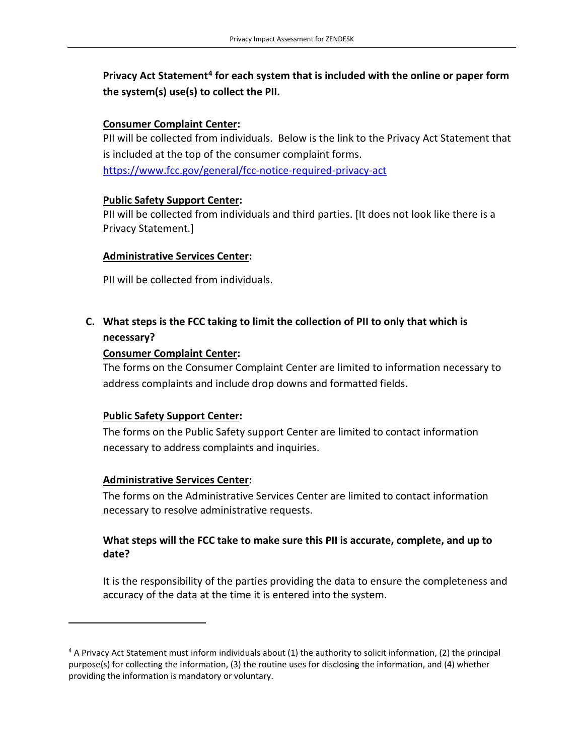# **Privacy Act Statement[4](#page-8-0) for each system that is included with the online or paper form the system(s) use(s) to collect the PII.**

#### **Consumer Complaint Center:**

PII will be collected from individuals. Below is the link to the Privacy Act Statement that is included at the top of the consumer complaint forms. <https://www.fcc.gov/general/fcc-notice-required-privacy-act>

#### **Public Safety Support Center:**

PII will be collected from individuals and third parties. [It does not look like there is a Privacy Statement.]

#### **Administrative Services Center:**

PII will be collected from individuals.

### **C. What steps is the FCC taking to limit the collection of PII to only that which is necessary?**

#### **Consumer Complaint Center:**

The forms on the Consumer Complaint Center are limited to information necessary to address complaints and include drop downs and formatted fields.

#### **Public Safety Support Center:**

The forms on the Public Safety support Center are limited to contact information necessary to address complaints and inquiries.

#### **Administrative Services Center:**

The forms on the Administrative Services Center are limited to contact information necessary to resolve administrative requests.

#### **What steps will the FCC take to make sure this PII is accurate, complete, and up to date?**

It is the responsibility of the parties providing the data to ensure the completeness and accuracy of the data at the time it is entered into the system.

<span id="page-8-0"></span><sup>4</sup> A Privacy Act Statement must inform individuals about (1) the authority to solicit information, (2) the principal purpose(s) for collecting the information, (3) the routine uses for disclosing the information, and (4) whether providing the information is mandatory or voluntary.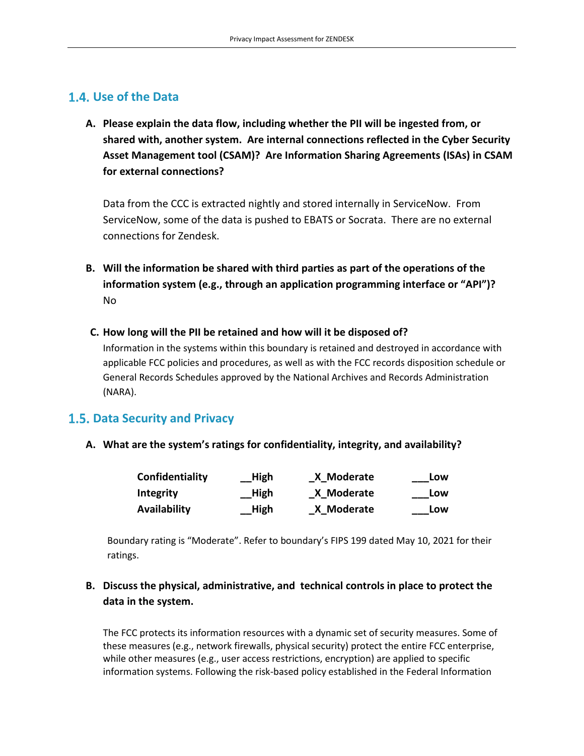### **Use of the Data**

**A. Please explain the data flow, including whether the PII will be ingested from, or shared with, another system. Are internal connections reflected in the Cyber Security Asset Management tool (CSAM)? Are Information Sharing Agreements (ISAs) in CSAM for external connections?**

Data from the CCC is extracted nightly and stored internally in ServiceNow. From ServiceNow, some of the data is pushed to EBATS or Socrata. There are no external connections for Zendesk.

- **B. Will the information be shared with third parties as part of the operations of the information system (e.g., through an application programming interface or "API")?** No
- **C. How long will the PII be retained and how will it be disposed of?**

Information in the systems within this boundary is retained and destroyed in accordance with applicable FCC policies and procedures, as well as with the FCC records disposition schedule or General Records Schedules approved by the National Archives and Records Administration (NARA).

### **Data Security and Privacy**

**A. What are the system's ratings for confidentiality, integrity, and availability?**

| Confidentiality     | High | X Moderate | Low |
|---------------------|------|------------|-----|
| Integrity           | High | X Moderate | Low |
| <b>Availability</b> | High | X Moderate | Low |

Boundary rating is "Moderate". Refer to boundary's FIPS 199 dated May 10, 2021 for their ratings.

### **B. Discuss the physical, administrative, and technical controls in place to protect the data in the system.**

The FCC protects its information resources with a dynamic set of security measures. Some of these measures (e.g., network firewalls, physical security) protect the entire FCC enterprise, while other measures (e.g., user access restrictions, encryption) are applied to specific information systems. Following the risk-based policy established in the Federal Information